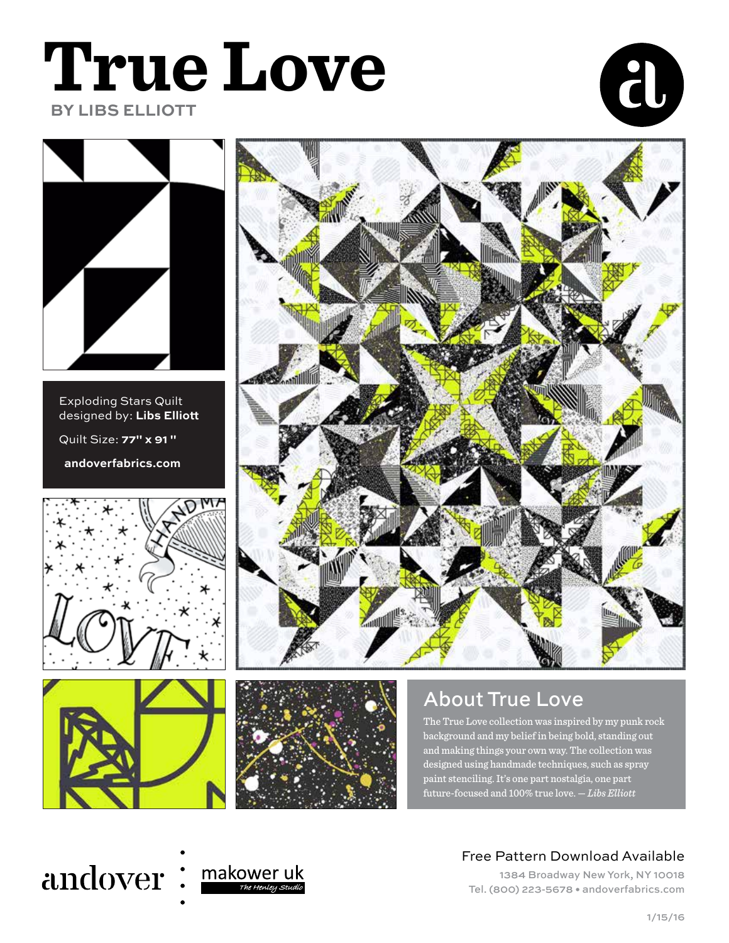## **True Love BY LIBS ELLIOTT**





Exploding Stars Quilt designed by: **Libs Ellio** Quilt Size: **77" x 91 "**

 **andoverfabrics.com**







## About True Love

The True Love collection was inspired by my punk rock background and my belief in being bold, standing out and making things your own way. The collection was designed using handmade techniques, such as spray paint stenciling. It's one part nostalgia, one part future-focused and 100% true love. — *Libs Elliott*

## andover: makower uk



#### Free Pattern Download Available

1384 Broadway New York, NY 10018 Tel. (800) 223-5678 • andoverfabrics.com



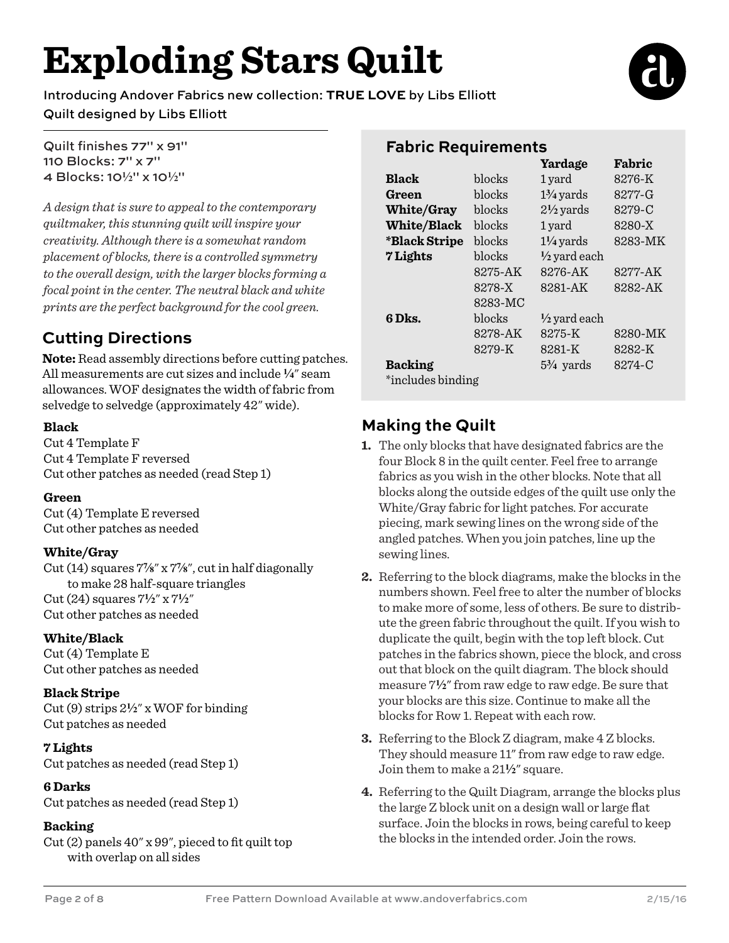# **Exploding Stars Quilt**

Introducing Andover Fabrics new collection: **TRUE LOVE** by Libs Ellio Quilt designed by Libs Ellio

#### Quilt finishes 77" x 91" 110 Blocks: 7" x 7" 4 Blocks: 10**2**" x 10**2**"

*A design that is sure to appeal to the contemporary quiltmaker, this stunning quilt will inspire your creativity. Although there is a somewhat random placement of blocks, there is a controlled symmetry to the overall design, with the larger blocks forming a focal point in the center. The neutral black and white prints are the perfect background for the cool green.*

### **Cutting Directions**

**Note:** Read assembly directions before cutting patches. All measurements are cut sizes and include **4**" seam allowances. WOF designates the width of fabric from selvedge to selvedge (approximately 42" wide).

#### **Black**

Cut 4 Template F Cut 4 Template F reversed Cut other patches as needed (read Step 1)

#### **Green**

Cut (4) Template E reversed Cut other patches as needed

#### **White/Gray**

Cut (14) squares 7**f**" x 7**f**", cut in half diagonally to make 28 half-square triangles Cut (24) squares 7**2**" x 7**2**" Cut other patches as needed

#### **White/Black**

Cut (4) Template E Cut other patches as needed

#### **Black Stripe**

Cut (9) strips 2**2**" x WOF for binding Cut patches as needed

#### **7 Lights**

Cut patches as needed (read Step 1)

#### **6 Darks**

Cut patches as needed (read Step 1)

#### **Backing**

Cut (2) panels 40" x 99", pieced to fit quilt top with overlap on all sides

### **Fabric Requirements**

|                    |         | Yardage                 | Fabric  |
|--------------------|---------|-------------------------|---------|
| <b>Black</b>       | blocks  | 1 yard                  | 8276-K  |
| Green              | blocks  | $1\frac{3}{4}$ yards    | 8277-G  |
| <b>White/Gray</b>  | blocks  | $2\frac{1}{2}$ yards    | 8279-C  |
| <b>White/Black</b> | blocks  | 1 yard                  | 8280-X  |
| *Black Stripe      | blocks  | $1\frac{1}{4}$ yards    | 8283-MK |
| 7 Lights           | blocks  | $\frac{1}{2}$ yard each |         |
|                    | 8275-AK | 8276-AK                 | 8277-AK |
|                    | 8278-X  | 8281-AK                 | 8282-AK |
|                    | 8283-MC |                         |         |
| 6 Dks.             | blocks  | $\frac{1}{2}$ yard each |         |
|                    | 8278-AK | 8275-K                  | 8280-MK |
|                    | 8279-K  | 8281-K                  | 8282-K  |
| <b>Backing</b>     |         | $5\frac{3}{4}$ yards    | 8274-C  |
| *includes binding  |         |                         |         |

### **Making the Quilt**

- **1.** The only blocks that have designated fabrics are the four Block 8 in the quilt center. Feel free to arrange fabrics as you wish in the other blocks. Note that all blocks along the outside edges of the quilt use only the White/Gray fabric for light patches. For accurate piecing, mark sewing lines on the wrong side of the angled patches. When you join patches, line up the sewing lines.
- **2.** Referring to the block diagrams, make the blocks in the numbers shown. Feel free to alter the number of blocks to make more of some, less of others. Be sure to distribute the green fabric throughout the quilt. If you wish to duplicate the quilt, begin with the top left block. Cut patches in the fabrics shown, piece the block, and cross out that block on the quilt diagram. The block should measure 7**2**" from raw edge to raw edge. Be sure that your blocks are this size. Continue to make all the blocks for Row 1. Repeat with each row.
- **3.** Referring to the Block Z diagram, make 4 Z blocks. They should measure 11" from raw edge to raw edge. Join them to make a 21**2**" square.
- **4.** Referring to the Quilt Diagram, arrange the blocks plus the large Z block unit on a design wall or large flat surface. Join the blocks in rows, being careful to keep the blocks in the intended order. Join the rows.

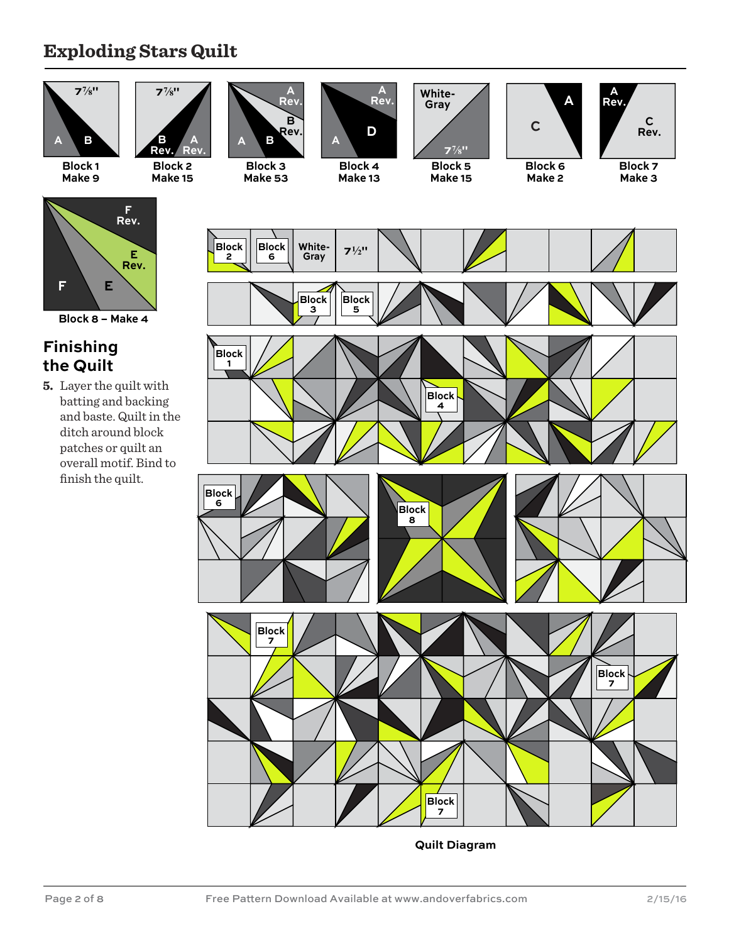### **Exploding Stars Quilt**



**Quilt Diagram**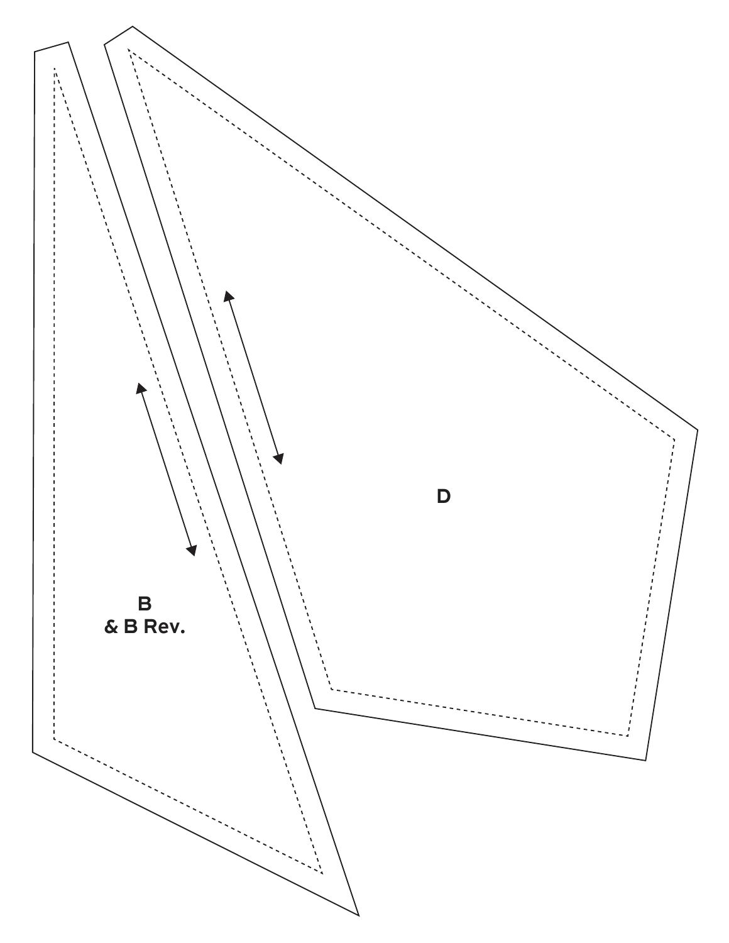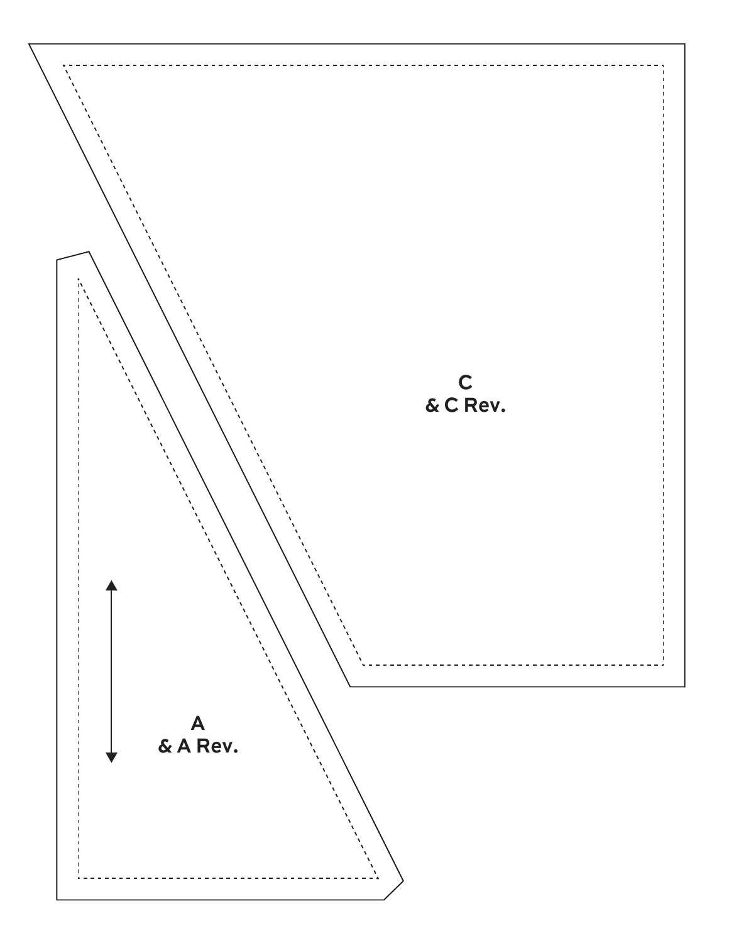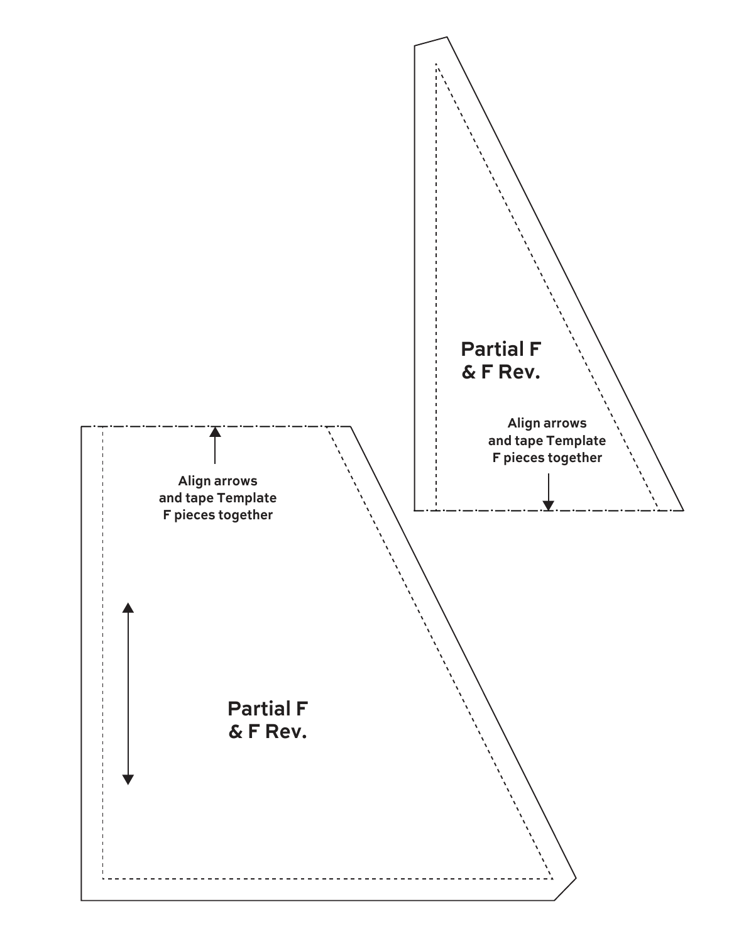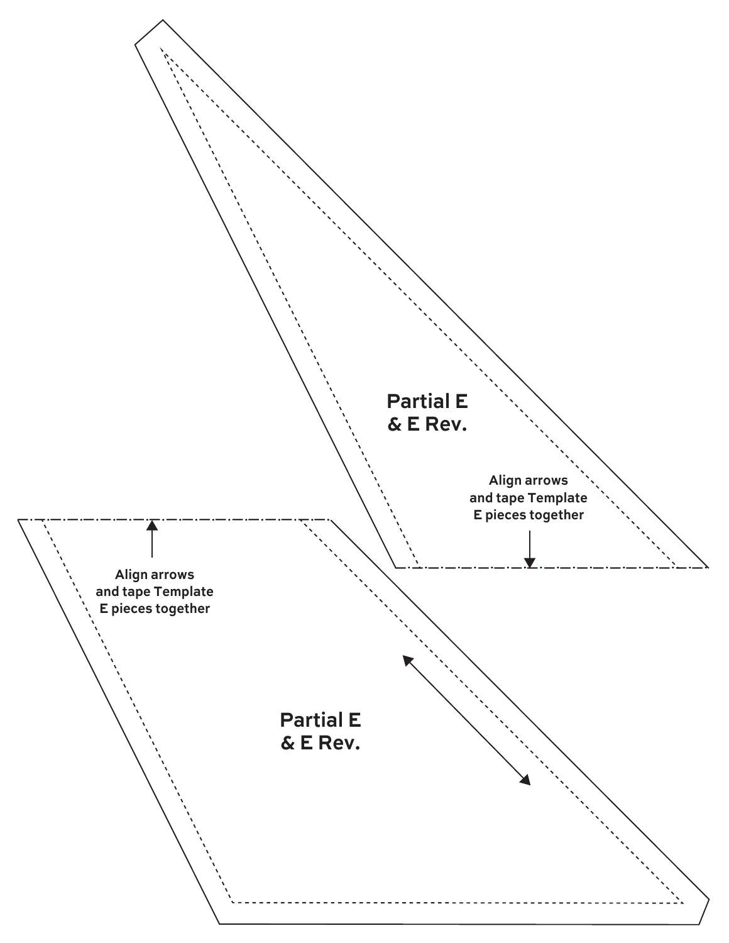